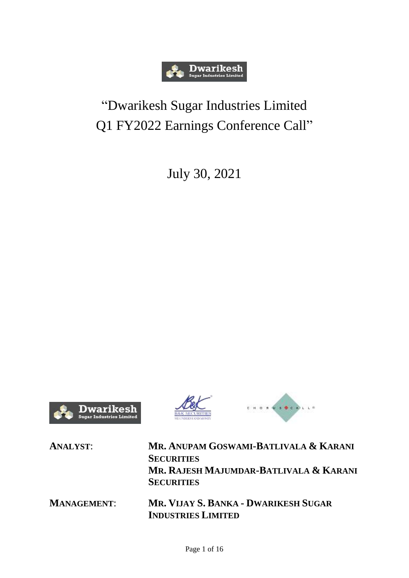

## "Dwarikesh Sugar Industries Limited Q1 FY2022 Earnings Conference Call"

July 30, 2021







| <b>ANALYST:</b>    | MR. ANUPAM GOSWAMI-BATLIVALA & KARANI       |
|--------------------|---------------------------------------------|
|                    | <b>SECURITIES</b>                           |
|                    | MR. RAJESH MAJUMDAR-BATLIVALA & KARANI      |
|                    | <b>SECURITIES</b>                           |
| <b>MANAGEMENT:</b> | <b>MR. VIJAY S. BANKA - DWARIKESH SUGAR</b> |
|                    | <b>INDUSTRIES LIMITED</b>                   |
|                    |                                             |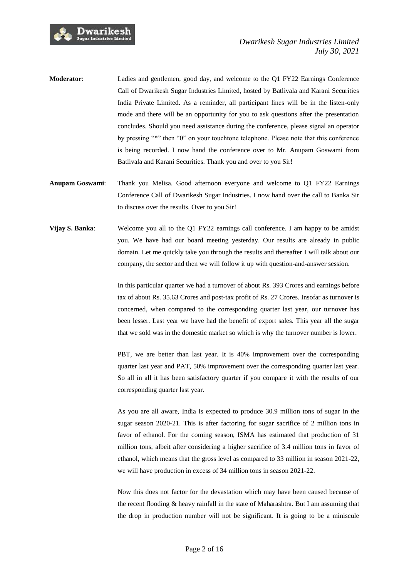

- **Moderator**: Ladies and gentlemen, good day, and welcome to the Q1 FY22 Earnings Conference Call of Dwarikesh Sugar Industries Limited, hosted by Batlivala and Karani Securities India Private Limited. As a reminder, all participant lines will be in the listen-only mode and there will be an opportunity for you to ask questions after the presentation concludes. Should you need assistance during the conference, please signal an operator by pressing "\*" then "0" on your touchtone telephone. Please note that this conference is being recorded. I now hand the conference over to Mr. Anupam Goswami from Batlivala and Karani Securities. Thank you and over to you Sir!
- **Anupam Goswami**: Thank you Melisa. Good afternoon everyone and welcome to Q1 FY22 Earnings Conference Call of Dwarikesh Sugar Industries. I now hand over the call to Banka Sir to discuss over the results. Over to you Sir!
- **Vijay S. Banka:** Welcome you all to the Q1 FY22 earnings call conference. I am happy to be amidst you. We have had our board meeting yesterday. Our results are already in public domain. Let me quickly take you through the results and thereafter I will talk about our company, the sector and then we will follow it up with question-and-answer session.

In this particular quarter we had a turnover of about Rs. 393 Crores and earnings before tax of about Rs. 35.63 Crores and post-tax profit of Rs. 27 Crores. Insofar as turnover is concerned, when compared to the corresponding quarter last year, our turnover has been lesser. Last year we have had the benefit of export sales. This year all the sugar that we sold was in the domestic market so which is why the turnover number is lower.

PBT, we are better than last year. It is 40% improvement over the corresponding quarter last year and PAT, 50% improvement over the corresponding quarter last year. So all in all it has been satisfactory quarter if you compare it with the results of our corresponding quarter last year.

As you are all aware, India is expected to produce 30.9 million tons of sugar in the sugar season 2020-21. This is after factoring for sugar sacrifice of 2 million tons in favor of ethanol. For the coming season, ISMA has estimated that production of 31 million tons, albeit after considering a higher sacrifice of 3.4 million tons in favor of ethanol, which means that the gross level as compared to 33 million in season 2021-22, we will have production in excess of 34 million tons in season 2021-22.

Now this does not factor for the devastation which may have been caused because of the recent flooding & heavy rainfall in the state of Maharashtra. But I am assuming that the drop in production number will not be significant. It is going to be a miniscule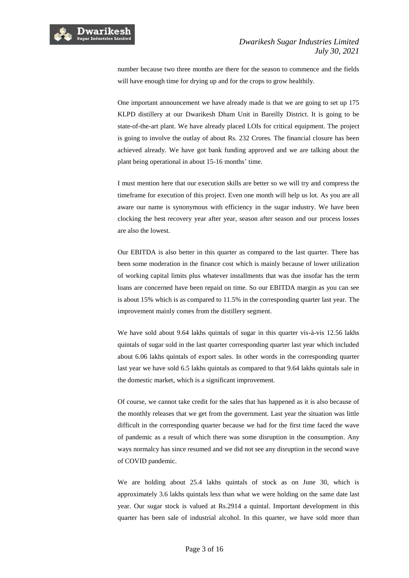

number because two three months are there for the season to commence and the fields will have enough time for drying up and for the crops to grow healthily.

One important announcement we have already made is that we are going to set up 175 KLPD distillery at our Dwarikesh Dham Unit in Bareilly District. It is going to be state-of-the-art plant. We have already placed LOIs for critical equipment. The project is going to involve the outlay of about Rs. 232 Crores. The financial closure has been achieved already. We have got bank funding approved and we are talking about the plant being operational in about 15-16 months' time.

I must mention here that our execution skills are better so we will try and compress the timeframe for execution of this project. Even one month will help us lot. As you are all aware our name is synonymous with efficiency in the sugar industry. We have been clocking the best recovery year after year, season after season and our process losses are also the lowest.

Our EBITDA is also better in this quarter as compared to the last quarter. There has been some moderation in the finance cost which is mainly because of lower utilization of working capital limits plus whatever installments that was due insofar has the term loans are concerned have been repaid on time. So our EBITDA margin as you can see is about 15% which is as compared to 11.5% in the corresponding quarter last year. The improvement mainly comes from the distillery segment.

We have sold about 9.64 lakhs quintals of sugar in this quarter vis-à-vis 12.56 lakhs quintals of sugar sold in the last quarter corresponding quarter last year which included about 6.06 lakhs quintals of export sales. In other words in the corresponding quarter last year we have sold 6.5 lakhs quintals as compared to that 9.64 lakhs quintals sale in the domestic market, which is a significant improvement.

Of course, we cannot take credit for the sales that has happened as it is also because of the monthly releases that we get from the government. Last year the situation was little difficult in the corresponding quarter because we had for the first time faced the wave of pandemic as a result of which there was some disruption in the consumption. Any ways normalcy has since resumed and we did not see any disruption in the second wave of COVID pandemic.

We are holding about 25.4 lakhs quintals of stock as on June 30, which is approximately 3.6 lakhs quintals less than what we were holding on the same date last year. Our sugar stock is valued at Rs.2914 a quintal. Important development in this quarter has been sale of industrial alcohol. In this quarter, we have sold more than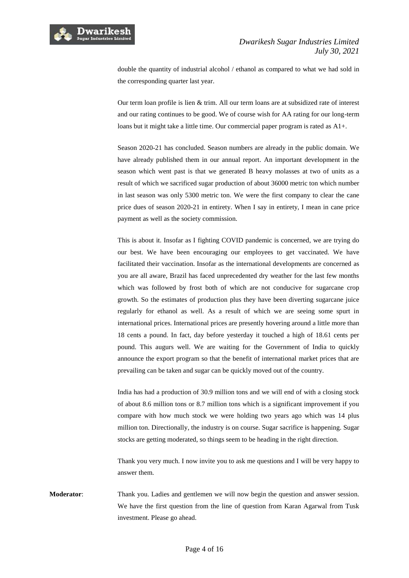

double the quantity of industrial alcohol / ethanol as compared to what we had sold in the corresponding quarter last year.

Our term loan profile is lien & trim. All our term loans are at subsidized rate of interest and our rating continues to be good. We of course wish for AA rating for our long-term loans but it might take a little time. Our commercial paper program is rated as A1+.

Season 2020-21 has concluded. Season numbers are already in the public domain. We have already published them in our annual report. An important development in the season which went past is that we generated B heavy molasses at two of units as a result of which we sacrificed sugar production of about 36000 metric ton which number in last season was only 5300 metric ton. We were the first company to clear the cane price dues of season 2020-21 in entirety. When I say in entirety, I mean in cane price payment as well as the society commission.

This is about it. Insofar as I fighting COVID pandemic is concerned, we are trying do our best. We have been encouraging our employees to get vaccinated. We have facilitated their vaccination. Insofar as the international developments are concerned as you are all aware, Brazil has faced unprecedented dry weather for the last few months which was followed by frost both of which are not conducive for sugarcane crop growth. So the estimates of production plus they have been diverting sugarcane juice regularly for ethanol as well. As a result of which we are seeing some spurt in international prices. International prices are presently hovering around a little more than 18 cents a pound. In fact, day before yesterday it touched a high of 18.61 cents per pound. This augurs well. We are waiting for the Government of India to quickly announce the export program so that the benefit of international market prices that are prevailing can be taken and sugar can be quickly moved out of the country.

India has had a production of 30.9 million tons and we will end of with a closing stock of about 8.6 million tons or 8.7 million tons which is a significant improvement if you compare with how much stock we were holding two years ago which was 14 plus million ton. Directionally, the industry is on course. Sugar sacrifice is happening. Sugar stocks are getting moderated, so things seem to be heading in the right direction.

Thank you very much. I now invite you to ask me questions and I will be very happy to answer them.

**Moderator**: Thank you. Ladies and gentlemen we will now begin the question and answer session. We have the first question from the line of question from Karan Agarwal from Tusk investment. Please go ahead.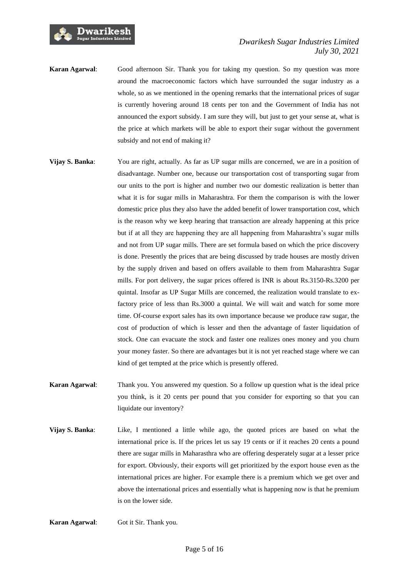

- **Karan Agarwal**: Good afternoon Sir. Thank you for taking my question. So my question was more around the macroeconomic factors which have surrounded the sugar industry as a whole, so as we mentioned in the opening remarks that the international prices of sugar is currently hovering around 18 cents per ton and the Government of India has not announced the export subsidy. I am sure they will, but just to get your sense at, what is the price at which markets will be able to export their sugar without the government subsidy and not end of making it?
- **Vijay S. Banka:** You are right, actually. As far as UP sugar mills are concerned, we are in a position of disadvantage. Number one, because our transportation cost of transporting sugar from our units to the port is higher and number two our domestic realization is better than what it is for sugar mills in Maharashtra. For them the comparison is with the lower domestic price plus they also have the added benefit of lower transportation cost, which is the reason why we keep hearing that transaction are already happening at this price but if at all they are happening they are all happening from Maharashtra's sugar mills and not from UP sugar mills. There are set formula based on which the price discovery is done. Presently the prices that are being discussed by trade houses are mostly driven by the supply driven and based on offers available to them from Maharashtra Sugar mills. For port delivery, the sugar prices offered is INR is about Rs.3150-Rs.3200 per quintal. Insofar as UP Sugar Mills are concerned, the realization would translate to exfactory price of less than Rs.3000 a quintal. We will wait and watch for some more time. Of-course export sales has its own importance because we produce raw sugar, the cost of production of which is lesser and then the advantage of faster liquidation of stock. One can evacuate the stock and faster one realizes ones money and you churn your money faster. So there are advantages but it is not yet reached stage where we can kind of get tempted at the price which is presently offered.
- **Karan Agarwal**: Thank you. You answered my question. So a follow up question what is the ideal price you think, is it 20 cents per pound that you consider for exporting so that you can liquidate our inventory?
- **Vijay S. Banka**: Like, I mentioned a little while ago, the quoted prices are based on what the international price is. If the prices let us say 19 cents or if it reaches 20 cents a pound there are sugar mills in Maharasthra who are offering desperately sugar at a lesser price for export. Obviously, their exports will get prioritized by the export house even as the international prices are higher. For example there is a premium which we get over and above the international prices and essentially what is happening now is that he premium is on the lower side.

**Karan Agarwal**: Got it Sir. Thank you.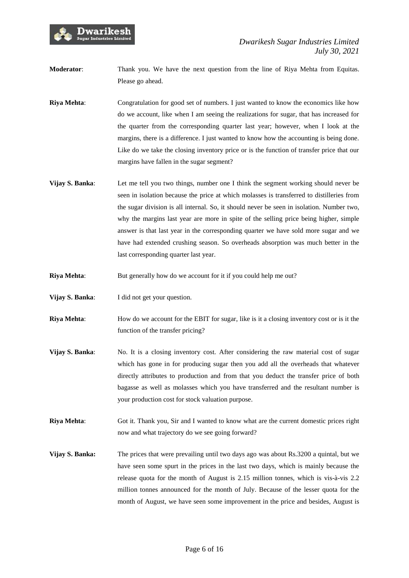

**Moderator**: Thank you. We have the next question from the line of Riya Mehta from Equitas. Please go ahead.

**Riya Mehta:** Congratulation for good set of numbers. I just wanted to know the economics like how do we account, like when I am seeing the realizations for sugar, that has increased for the quarter from the corresponding quarter last year; however, when I look at the margins, there is a difference. I just wanted to know how the accounting is being done. Like do we take the closing inventory price or is the function of transfer price that our margins have fallen in the sugar segment?

- **Vijay S. Banka:** Let me tell you two things, number one I think the segment working should never be seen in isolation because the price at which molasses is transferred to distilleries from the sugar division is all internal. So, it should never be seen in isolation. Number two, why the margins last year are more in spite of the selling price being higher, simple answer is that last year in the corresponding quarter we have sold more sugar and we have had extended crushing season. So overheads absorption was much better in the last corresponding quarter last year.
- **Riya Mehta:** But generally how do we account for it if you could help me out?
- **Vijay S. Banka:** I did not get your question.
- **Riya Mehta:** How do we account for the EBIT for sugar, like is it a closing inventory cost or is it the function of the transfer pricing?
- **Vijay S. Banka:** No. It is a closing inventory cost. After considering the raw material cost of sugar which has gone in for producing sugar then you add all the overheads that whatever directly attributes to production and from that you deduct the transfer price of both bagasse as well as molasses which you have transferred and the resultant number is your production cost for stock valuation purpose.
- **Riya Mehta**: Got it. Thank you, Sir and I wanted to know what are the current domestic prices right now and what trajectory do we see going forward?
- **Vijay S. Banka:** The prices that were prevailing until two days ago was about Rs.3200 a quintal, but we have seen some spurt in the prices in the last two days, which is mainly because the release quota for the month of August is 2.15 million tonnes, which is vis-à-vis 2.2 million tonnes announced for the month of July. Because of the lesser quota for the month of August, we have seen some improvement in the price and besides, August is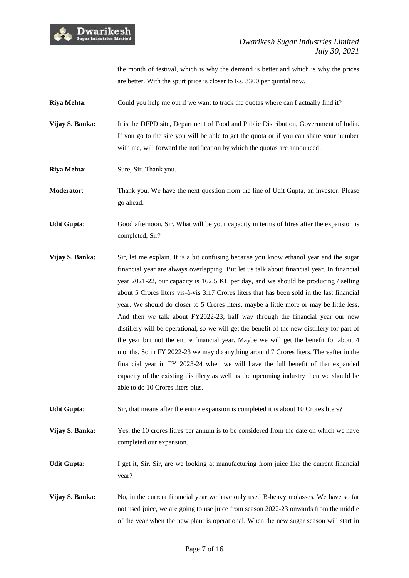

the month of festival, which is why the demand is better and which is why the prices are better. With the spurt price is closer to Rs. 3300 per quintal now.

**Riya Mehta:** Could you help me out if we want to track the quotas where can I actually find it?

**Vijay S. Banka:** It is the DFPD site, Department of Food and Public Distribution, Government of India. If you go to the site you will be able to get the quota or if you can share your number with me, will forward the notification by which the quotas are announced.

**Riya Mehta:** Sure, Sir. Thank you.

**Moderator**: Thank you. We have the next question from the line of Udit Gupta, an investor. Please go ahead.

**Udit Gupta:** Good afternoon, Sir. What will be your capacity in terms of litres after the expansion is completed, Sir?

**Vijay S. Banka:** Sir, let me explain. It is a bit confusing because you know ethanol year and the sugar financial year are always overlapping. But let us talk about financial year. In financial year 2021-22, our capacity is 162.5 KL per day, and we should be producing / selling about 5 Crores liters vis-à-vis 3.17 Crores liters that has been sold in the last financial year. We should do closer to 5 Crores liters, maybe a little more or may be little less. And then we talk about FY2022-23, half way through the financial year our new distillery will be operational, so we will get the benefit of the new distillery for part of the year but not the entire financial year. Maybe we will get the benefit for about 4 months. So in FY 2022-23 we may do anything around 7 Crores liters. Thereafter in the financial year in FY 2023-24 when we will have the full benefit of that expanded capacity of the existing distillery as well as the upcoming industry then we should be able to do 10 Crores liters plus.

Udit Gupta: Sir, that means after the entire expansion is completed it is about 10 Crores liters?

**Vijay S. Banka:** Yes, the 10 crores litres per annum is to be considered from the date on which we have completed our expansion.

**Udit Gupta**: I get it, Sir. Sir, are we looking at manufacturing from juice like the current financial year?

**Vijay S. Banka:** No, in the current financial year we have only used B-heavy molasses. We have so far not used juice, we are going to use juice from season 2022-23 onwards from the middle of the year when the new plant is operational. When the new sugar season will start in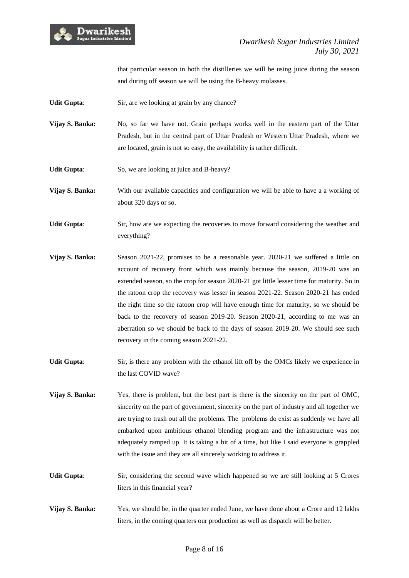

that particular season in both the distilleries we will be using juice during the season and during off season we will be using the B-heavy molasses.

- **Udit Gupta:** Sir, are we looking at grain by any chance?
- **Vijay S. Banka:** No, so far we have not. Grain perhaps works well in the eastern part of the Uttar Pradesh, but in the central part of Uttar Pradesh or Western Uttar Pradesh, where we are located, grain is not so easy, the availability is rather difficult.
- **Udit Gupta:** So, we are looking at juice and B-heavy?
- **Vijay S. Banka:** With our available capacities and configuration we will be able to have a a working of about 320 days or so.
- **Udit Gupta**: Sir, how are we expecting the recoveries to move forward considering the weather and everything?
- **Vijay S. Banka:** Season 2021-22, promises to be a reasonable year. 2020-21 we suffered a little on account of recovery front which was mainly because the season, 2019-20 was an extended season, so the crop for season 2020-21 got little lesser time for maturity. So in the ratoon crop the recovery was lesser in season 2021-22. Season 2020-21 has ended the right time so the ratoon crop will have enough time for maturity, so we should be back to the recovery of season 2019-20. Season 2020-21, according to me was an aberration so we should be back to the days of season 2019-20. We should see such recovery in the coming season 2021-22.
- **Udit Gupta**: Sir, is there any problem with the ethanol lift off by the OMCs likely we experience in the last COVID wave?
- **Vijay S. Banka:** Yes, there is problem, but the best part is there is the sincerity on the part of OMC, sincerity on the part of government, sincerity on the part of industry and all together we are trying to trash out all the problems. The problems do exist as suddenly we have all embarked upon ambitious ethanol blending program and the infrastructure was not adequately ramped up. It is taking a bit of a time, but like I said everyone is grappled with the issue and they are all sincerely working to address it.
- Udit Gupta: Sir, considering the second wave which happened so we are still looking at 5 Crores liters in this financial year?
- **Vijay S. Banka:** Yes, we should be, in the quarter ended June, we have done about a Crore and 12 lakhs liters, in the coming quarters our production as well as dispatch will be better.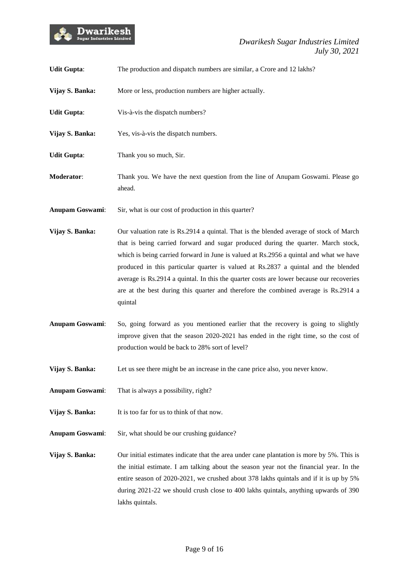

| <b>Udit Gupta:</b>     | The production and dispatch numbers are similar, a Crore and 12 lakhs?                                                                                                                                                                                                                                                                                                                                                                                                                                                                                    |
|------------------------|-----------------------------------------------------------------------------------------------------------------------------------------------------------------------------------------------------------------------------------------------------------------------------------------------------------------------------------------------------------------------------------------------------------------------------------------------------------------------------------------------------------------------------------------------------------|
| Vijay S. Banka:        | More or less, production numbers are higher actually.                                                                                                                                                                                                                                                                                                                                                                                                                                                                                                     |
| <b>Udit Gupta:</b>     | Vis-à-vis the dispatch numbers?                                                                                                                                                                                                                                                                                                                                                                                                                                                                                                                           |
| Vijay S. Banka:        | Yes, vis-à-vis the dispatch numbers.                                                                                                                                                                                                                                                                                                                                                                                                                                                                                                                      |
| <b>Udit Gupta:</b>     | Thank you so much, Sir.                                                                                                                                                                                                                                                                                                                                                                                                                                                                                                                                   |
| Moderator:             | Thank you. We have the next question from the line of Anupam Goswami. Please go<br>ahead.                                                                                                                                                                                                                                                                                                                                                                                                                                                                 |
| <b>Anupam Goswami:</b> | Sir, what is our cost of production in this quarter?                                                                                                                                                                                                                                                                                                                                                                                                                                                                                                      |
| Vijay S. Banka:        | Our valuation rate is Rs.2914 a quintal. That is the blended average of stock of March<br>that is being carried forward and sugar produced during the quarter. March stock,<br>which is being carried forward in June is valued at Rs.2956 a quintal and what we have<br>produced in this particular quarter is valued at Rs.2837 a quintal and the blended<br>average is Rs.2914 a quintal. In this the quarter costs are lower because our recoveries<br>are at the best during this quarter and therefore the combined average is Rs.2914 a<br>quintal |
| <b>Anupam Goswami:</b> | So, going forward as you mentioned earlier that the recovery is going to slightly<br>improve given that the season 2020-2021 has ended in the right time, so the cost of<br>production would be back to 28% sort of level?                                                                                                                                                                                                                                                                                                                                |
| Vijay S. Banka:        | Let us see there might be an increase in the cane price also, you never know.                                                                                                                                                                                                                                                                                                                                                                                                                                                                             |
| Anupam Goswami:        | That is always a possibility, right?                                                                                                                                                                                                                                                                                                                                                                                                                                                                                                                      |
| Vijay S. Banka:        | It is too far for us to think of that now.                                                                                                                                                                                                                                                                                                                                                                                                                                                                                                                |
| <b>Anupam Goswami:</b> | Sir, what should be our crushing guidance?                                                                                                                                                                                                                                                                                                                                                                                                                                                                                                                |
| Vijay S. Banka:        | Our initial estimates indicate that the area under cane plantation is more by 5%. This is<br>the initial estimate. I am talking about the season year not the financial year. In the<br>entire season of 2020-2021, we crushed about 378 lakhs quintals and if it is up by 5%<br>during 2021-22 we should crush close to 400 lakhs quintals, anything upwards of 390<br>lakhs quintals.                                                                                                                                                                   |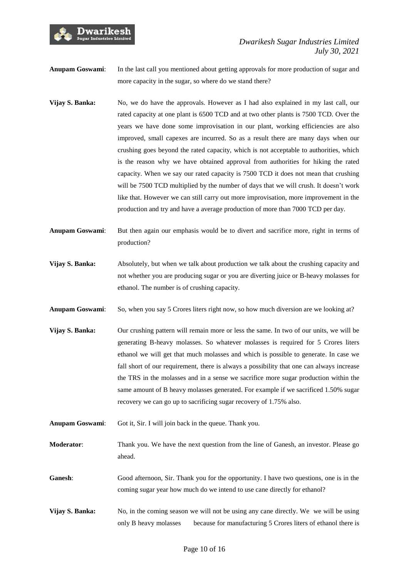

**Anupam Goswami:** In the last call you mentioned about getting approvals for more production of sugar and more capacity in the sugar, so where do we stand there?

- **Vijay S. Banka:** No, we do have the approvals. However as I had also explained in my last call, our rated capacity at one plant is 6500 TCD and at two other plants is 7500 TCD. Over the years we have done some improvisation in our plant, working efficiencies are also improved, small capexes are incurred. So as a result there are many days when our crushing goes beyond the rated capacity, which is not acceptable to authorities, which is the reason why we have obtained approval from authorities for hiking the rated capacity. When we say our rated capacity is 7500 TCD it does not mean that crushing will be 7500 TCD multiplied by the number of days that we will crush. It doesn't work like that. However we can still carry out more improvisation, more improvement in the production and try and have a average production of more than 7000 TCD per day.
- **Anupam Goswami**: But then again our emphasis would be to divert and sacrifice more, right in terms of production?
- **Vijay S. Banka:** Absolutely, but when we talk about production we talk about the crushing capacity and not whether you are producing sugar or you are diverting juice or B-heavy molasses for ethanol. The number is of crushing capacity.
- **Anupam Goswami:** So, when you say 5 Crores liters right now, so how much diversion are we looking at?
- **Vijay S. Banka:** Our crushing pattern will remain more or less the same. In two of our units, we will be generating B-heavy molasses. So whatever molasses is required for 5 Crores liters ethanol we will get that much molasses and which is possible to generate. In case we fall short of our requirement, there is always a possibility that one can always increase the TRS in the molasses and in a sense we sacrifice more sugar production within the same amount of B heavy molasses generated. For example if we sacrificed 1.50% sugar recovery we can go up to sacrificing sugar recovery of 1.75% also.
- **Anupam Goswami**: Got it, Sir. I will join back in the queue. Thank you.
- **Moderator**: Thank you. We have the next question from the line of Ganesh, an investor. Please go ahead.
- **Ganesh**: Good afternoon, Sir. Thank you for the opportunity. I have two questions, one is in the coming sugar year how much do we intend to use cane directly for ethanol?
- **Vijay S. Banka:** No, in the coming season we will not be using any cane directly. We we will be using only B heavy molasses because for manufacturing 5 Crores liters of ethanol there is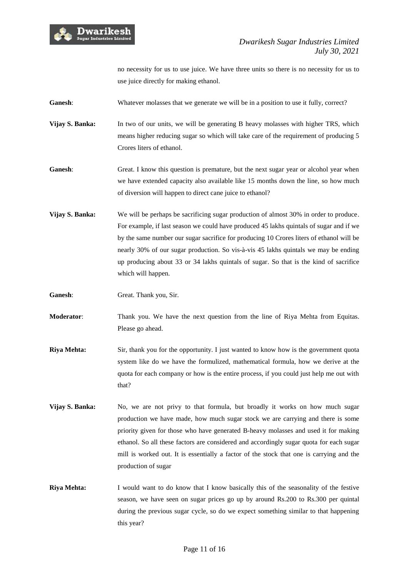

no necessity for us to use juice. We have three units so there is no necessity for us to use juice directly for making ethanol.

Ganesh: Whatever molasses that we generate we will be in a position to use it fully, correct?

**Vijay S. Banka:** In two of our units, we will be generating B heavy molasses with higher TRS, which means higher reducing sugar so which will take care of the requirement of producing 5 Crores liters of ethanol.

Ganesh: Great. I know this question is premature, but the next sugar year or alcohol year when we have extended capacity also available like 15 months down the line, so how much of diversion will happen to direct cane juice to ethanol?

**Vijay S. Banka:** We will be perhaps be sacrificing sugar production of almost 30% in order to produce. For example, if last season we could have produced 45 lakhs quintals of sugar and if we by the same number our sugar sacrifice for producing 10 Crores liters of ethanol will be nearly 30% of our sugar production. So vis-à-vis 45 lakhs quintals we may be ending up producing about 33 or 34 lakhs quintals of sugar. So that is the kind of sacrifice which will happen.

**Ganesh**: Great. Thank you, Sir.

**Moderator**: Thank you. We have the next question from the line of Riya Mehta from Equitas. Please go ahead.

- **Riya Mehta:** Sir, thank you for the opportunity. I just wanted to know how is the government quota system like do we have the formulized, mathematical formula, how we derive at the quota for each company or how is the entire process, if you could just help me out with that?
- **Vijay S. Banka:** No, we are not privy to that formula, but broadly it works on how much sugar production we have made, how much sugar stock we are carrying and there is some priority given for those who have generated B-heavy molasses and used it for making ethanol. So all these factors are considered and accordingly sugar quota for each sugar mill is worked out. It is essentially a factor of the stock that one is carrying and the production of sugar
- **Riya Mehta:** I would want to do know that I know basically this of the seasonality of the festive season, we have seen on sugar prices go up by around Rs.200 to Rs.300 per quintal during the previous sugar cycle, so do we expect something similar to that happening this year?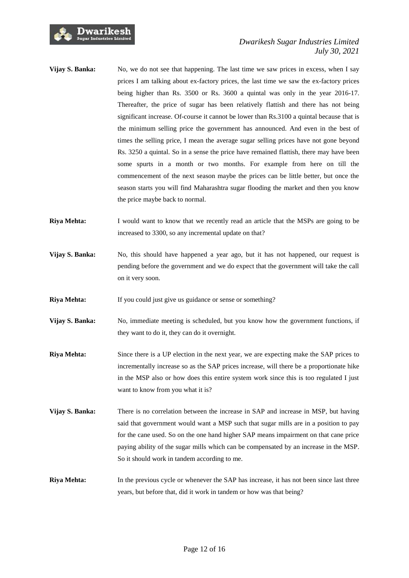

- **Vijay S. Banka:** No, we do not see that happening. The last time we saw prices in excess, when I say prices I am talking about ex-factory prices, the last time we saw the ex-factory prices being higher than Rs. 3500 or Rs. 3600 a quintal was only in the year 2016-17. Thereafter, the price of sugar has been relatively flattish and there has not being significant increase. Of-course it cannot be lower than Rs.3100 a quintal because that is the minimum selling price the government has announced. And even in the best of times the selling price, I mean the average sugar selling prices have not gone beyond Rs. 3250 a quintal. So in a sense the price have remained flattish, there may have been some spurts in a month or two months. For example from here on till the commencement of the next season maybe the prices can be little better, but once the season starts you will find Maharashtra sugar flooding the market and then you know the price maybe back to normal.
- **Riya Mehta:** I would want to know that we recently read an article that the MSPs are going to be increased to 3300, so any incremental update on that?
- **Vijay S. Banka:** No, this should have happened a year ago, but it has not happened, our request is pending before the government and we do expect that the government will take the call on it very soon.
- **Riya Mehta:** If you could just give us guidance or sense or something?
- **Vijay S. Banka:** No, immediate meeting is scheduled, but you know how the government functions, if they want to do it, they can do it overnight.
- **Riya Mehta:** Since there is a UP election in the next year, we are expecting make the SAP prices to incrementally increase so as the SAP prices increase, will there be a proportionate hike in the MSP also or how does this entire system work since this is too regulated I just want to know from you what it is?
- **Vijay S. Banka:** There is no correlation between the increase in SAP and increase in MSP, but having said that government would want a MSP such that sugar mills are in a position to pay for the cane used. So on the one hand higher SAP means impairment on that cane price paying ability of the sugar mills which can be compensated by an increase in the MSP. So it should work in tandem according to me.
- **Riya Mehta:** In the previous cycle or whenever the SAP has increase, it has not been since last three years, but before that, did it work in tandem or how was that being?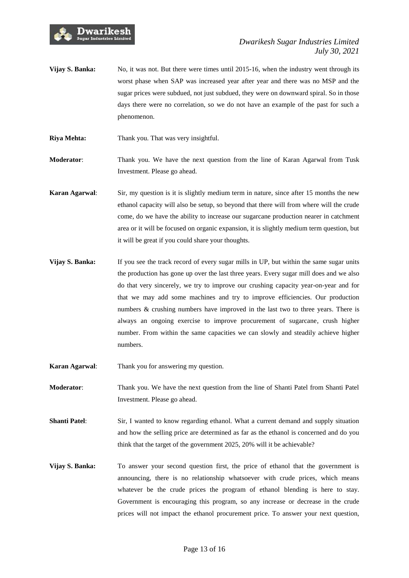

- **Vijay S. Banka:** No, it was not. But there were times until 2015-16, when the industry went through its worst phase when SAP was increased year after year and there was no MSP and the sugar prices were subdued, not just subdued, they were on downward spiral. So in those days there were no correlation, so we do not have an example of the past for such a phenomenon.
- **Riya Mehta:** Thank you. That was very insightful.

**Moderator**: Thank you. We have the next question from the line of Karan Agarwal from Tusk Investment. Please go ahead.

- **Karan Agarwal**: Sir, my question is it is slightly medium term in nature, since after 15 months the new ethanol capacity will also be setup, so beyond that there will from where will the crude come, do we have the ability to increase our sugarcane production nearer in catchment area or it will be focused on organic expansion, it is slightly medium term question, but it will be great if you could share your thoughts.
- **Vijay S. Banka:** If you see the track record of every sugar mills in UP, but within the same sugar units the production has gone up over the last three years. Every sugar mill does and we also do that very sincerely, we try to improve our crushing capacity year-on-year and for that we may add some machines and try to improve efficiencies. Our production numbers & crushing numbers have improved in the last two to three years. There is always an ongoing exercise to improve procurement of sugarcane, crush higher number. From within the same capacities we can slowly and steadily achieve higher numbers.
- **Karan Agarwal**: Thank you for answering my question.
- **Moderator**: Thank you. We have the next question from the line of Shanti Patel from Shanti Patel Investment. Please go ahead.
- **Shanti Patel:** Sir, I wanted to know regarding ethanol. What a current demand and supply situation and how the selling price are determined as far as the ethanol is concerned and do you think that the target of the government 2025, 20% will it be achievable?
- **Vijay S. Banka:** To answer your second question first, the price of ethanol that the government is announcing, there is no relationship whatsoever with crude prices, which means whatever be the crude prices the program of ethanol blending is here to stay. Government is encouraging this program, so any increase or decrease in the crude prices will not impact the ethanol procurement price. To answer your next question,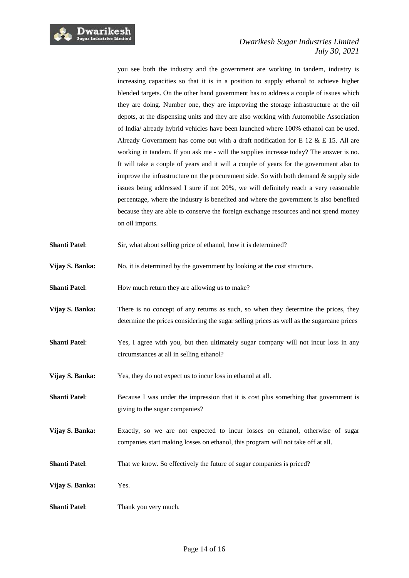

you see both the industry and the government are working in tandem, industry is increasing capacities so that it is in a position to supply ethanol to achieve higher blended targets. On the other hand government has to address a couple of issues which they are doing. Number one, they are improving the storage infrastructure at the oil depots, at the dispensing units and they are also working with Automobile Association of India/ already hybrid vehicles have been launched where 100% ethanol can be used. Already Government has come out with a draft notification for E 12  $\&$  E 15. All are working in tandem. If you ask me - will the supplies increase today? The answer is no. It will take a couple of years and it will a couple of years for the government also to improve the infrastructure on the procurement side. So with both demand  $\&$  supply side issues being addressed I sure if not 20%, we will definitely reach a very reasonable percentage, where the industry is benefited and where the government is also benefited because they are able to conserve the foreign exchange resources and not spend money on oil imports.

- **Shanti Patel:** Sir, what about selling price of ethanol, how it is determined?
- Vijay S. Banka: No, it is determined by the government by looking at the cost structure.
- **Shanti Patel:** How much return they are allowing us to make?
- **Vijay S. Banka:** There is no concept of any returns as such, so when they determine the prices, they determine the prices considering the sugar selling prices as well as the sugarcane prices
- **Shanti Patel:** Yes, I agree with you, but then ultimately sugar company will not incur loss in any circumstances at all in selling ethanol?
- **Vijay S. Banka:** Yes, they do not expect us to incur loss in ethanol at all.
- **Shanti Patel:** Because I was under the impression that it is cost plus something that government is giving to the sugar companies?
- **Vijay S. Banka:** Exactly, so we are not expected to incur losses on ethanol, otherwise of sugar companies start making losses on ethanol, this program will not take off at all.
- **Shanti Patel:** That we know. So effectively the future of sugar companies is priced?
- **Vijay S. Banka:** Yes.
- **Shanti Patel:** Thank you very much.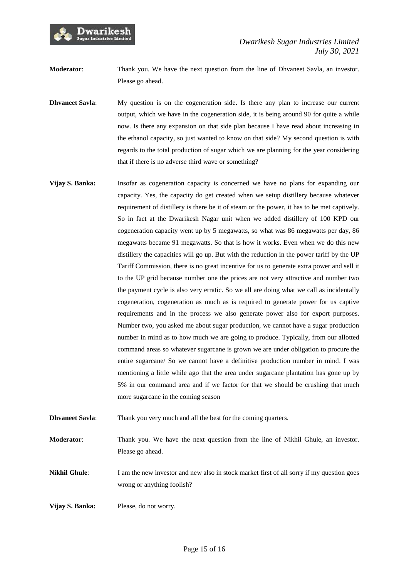

**Moderator**: Thank you. We have the next question from the line of Dhvaneet Savla, an investor. Please go ahead.

- **Dhvaneet Savla:** My question is on the cogeneration side. Is there any plan to increase our current output, which we have in the cogeneration side, it is being around 90 for quite a while now. Is there any expansion on that side plan because I have read about increasing in the ethanol capacity, so just wanted to know on that side? My second question is with regards to the total production of sugar which we are planning for the year considering that if there is no adverse third wave or something?
- **Vijay S. Banka:** Insofar as cogeneration capacity is concerned we have no plans for expanding our capacity. Yes, the capacity do get created when we setup distillery because whatever requirement of distillery is there be it of steam or the power, it has to be met captively. So in fact at the Dwarikesh Nagar unit when we added distillery of 100 KPD our cogeneration capacity went up by 5 megawatts, so what was 86 megawatts per day, 86 megawatts became 91 megawatts. So that is how it works. Even when we do this new distillery the capacities will go up. But with the reduction in the power tariff by the UP Tariff Commission, there is no great incentive for us to generate extra power and sell it to the UP grid because number one the prices are not very attractive and number two the payment cycle is also very erratic. So we all are doing what we call as incidentally cogeneration, cogeneration as much as is required to generate power for us captive requirements and in the process we also generate power also for export purposes. Number two, you asked me about sugar production, we cannot have a sugar production number in mind as to how much we are going to produce. Typically, from our allotted command areas so whatever sugarcane is grown we are under obligation to procure the entire sugarcane/ So we cannot have a definitive production number in mind. I was mentioning a little while ago that the area under sugarcane plantation has gone up by 5% in our command area and if we factor for that we should be crushing that much more sugarcane in the coming season
- **Dhvaneet Savla:** Thank you very much and all the best for the coming quarters.
- **Moderator**: Thank you. We have the next question from the line of Nikhil Ghule, an investor. Please go ahead.

**Nikhil Ghule**: I am the new investor and new also in stock market first of all sorry if my question goes wrong or anything foolish?

**Vijay S. Banka:** Please, do not worry.